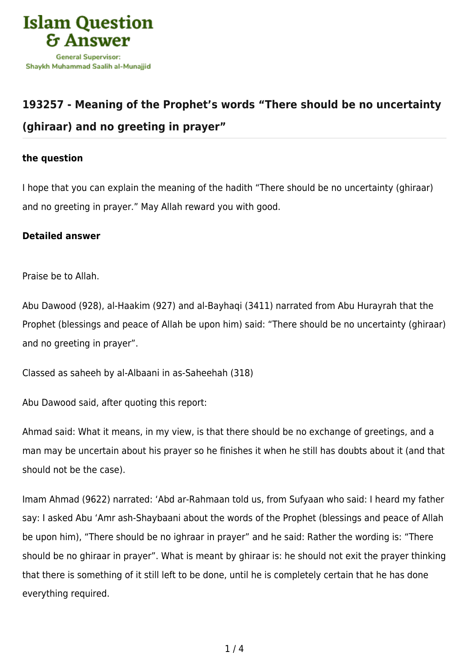

## **[193257 - Meaning of the Prophet's words "There should be no uncertainty](https://islamqa.com/en/answers/193257/meaning-of-the-prophets-words-there-should-be-no-uncertainty-ghiraar-and-no-greeting-in-prayer) [\(ghiraar\) and no greeting in prayer"](https://islamqa.com/en/answers/193257/meaning-of-the-prophets-words-there-should-be-no-uncertainty-ghiraar-and-no-greeting-in-prayer)**

## **the question**

I hope that you can explain the meaning of the hadith "There should be no uncertainty (ghiraar) and no greeting in prayer." May Allah reward you with good.

## **Detailed answer**

Praise be to Allah.

Abu Dawood (928), al-Haakim (927) and al-Bayhaqi (3411) narrated from Abu Hurayrah that the Prophet (blessings and peace of Allah be upon him) said: "There should be no uncertainty (ghiraar) and no greeting in prayer".

Classed as saheeh by al-Albaani in as-Saheehah (318)

Abu Dawood said, after quoting this report:

Ahmad said: What it means, in my view, is that there should be no exchange of greetings, and a man may be uncertain about his prayer so he finishes it when he still has doubts about it (and that should not be the case).

Imam Ahmad (9622) narrated: 'Abd ar-Rahmaan told us, from Sufyaan who said: I heard my father say: I asked Abu 'Amr ash-Shaybaani about the words of the Prophet (blessings and peace of Allah be upon him), "There should be no ighraar in prayer" and he said: Rather the wording is: "There should be no ghiraar in prayer". What is meant by ghiraar is: he should not exit the prayer thinking that there is something of it still left to be done, until he is completely certain that he has done everything required.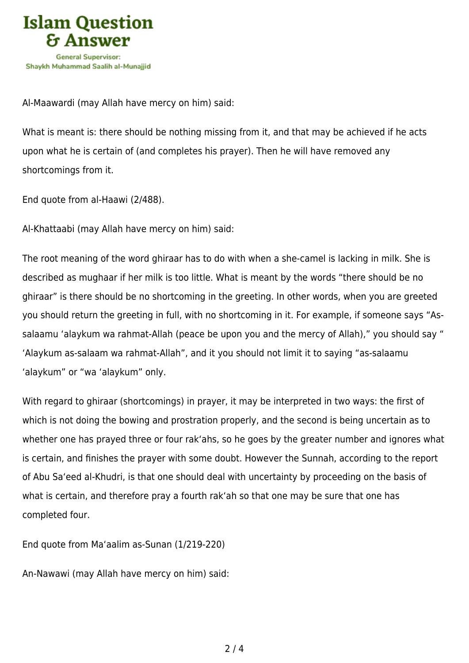

Al-Maawardi (may Allah have mercy on him) said:

What is meant is: there should be nothing missing from it, and that may be achieved if he acts upon what he is certain of (and completes his prayer). Then he will have removed any shortcomings from it.

End quote from al-Haawi (2/488).

Al-Khattaabi (may Allah have mercy on him) said:

The root meaning of the word ghiraar has to do with when a she-camel is lacking in milk. She is described as mughaar if her milk is too little. What is meant by the words "there should be no ghiraar" is there should be no shortcoming in the greeting. In other words, when you are greeted you should return the greeting in full, with no shortcoming in it. For example, if someone says "Assalaamu 'alaykum wa rahmat-Allah (peace be upon you and the mercy of Allah)," you should say " 'Alaykum as-salaam wa rahmat-Allah", and it you should not limit it to saying "as-salaamu 'alaykum" or "wa 'alaykum" only.

With regard to ghiraar (shortcomings) in prayer, it may be interpreted in two ways: the first of which is not doing the bowing and prostration properly, and the second is being uncertain as to whether one has prayed three or four rak'ahs, so he goes by the greater number and ignores what is certain, and finishes the prayer with some doubt. However the Sunnah, according to the report of Abu Sa'eed al-Khudri, is that one should deal with uncertainty by proceeding on the basis of what is certain, and therefore pray a fourth rak'ah so that one may be sure that one has completed four.

End quote from Ma'aalim as-Sunan (1/219-220)

An-Nawawi (may Allah have mercy on him) said: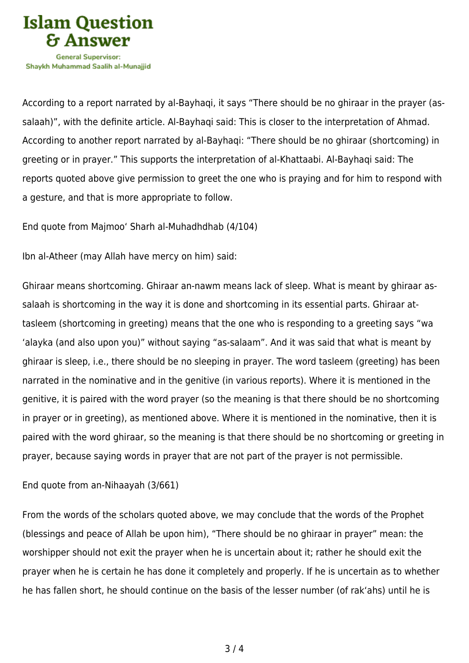

According to a report narrated by al-Bayhaqi, it says "There should be no ghiraar in the prayer (assalaah)", with the definite article. Al-Bayhaqi said: This is closer to the interpretation of Ahmad. According to another report narrated by al-Bayhaqi: "There should be no ghiraar (shortcoming) in greeting or in prayer." This supports the interpretation of al-Khattaabi. Al-Bayhaqi said: The reports quoted above give permission to greet the one who is praying and for him to respond with a gesture, and that is more appropriate to follow.

End quote from Majmoo' Sharh al-Muhadhdhab (4/104)

Ibn al-Atheer (may Allah have mercy on him) said:

Ghiraar means shortcoming. Ghiraar an-nawm means lack of sleep. What is meant by ghiraar assalaah is shortcoming in the way it is done and shortcoming in its essential parts. Ghiraar attasleem (shortcoming in greeting) means that the one who is responding to a greeting says "wa 'alayka (and also upon you)" without saying "as-salaam". And it was said that what is meant by ghiraar is sleep, i.e., there should be no sleeping in prayer. The word tasleem (greeting) has been narrated in the nominative and in the genitive (in various reports). Where it is mentioned in the genitive, it is paired with the word prayer (so the meaning is that there should be no shortcoming in prayer or in greeting), as mentioned above. Where it is mentioned in the nominative, then it is paired with the word ghiraar, so the meaning is that there should be no shortcoming or greeting in prayer, because saying words in prayer that are not part of the prayer is not permissible.

End quote from an-Nihaayah (3/661)

From the words of the scholars quoted above, we may conclude that the words of the Prophet (blessings and peace of Allah be upon him), "There should be no ghiraar in prayer" mean: the worshipper should not exit the prayer when he is uncertain about it; rather he should exit the prayer when he is certain he has done it completely and properly. If he is uncertain as to whether he has fallen short, he should continue on the basis of the lesser number (of rak'ahs) until he is